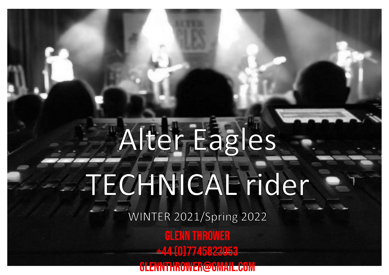# Alter Eagles -TECHNICAE rider

WINTER 2021/Spring 2022

**GLENN THROWER** +44 (0)7745823053 grens own ER@GMAIL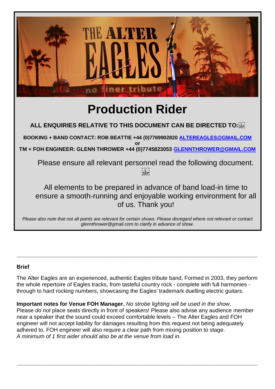

# **Production Rider**

**ALL ENQUIRIES RELATIVE TO THIS DOCUMENT CAN BE DIRECTED TO:** 

**BOOKING + BAND CONTACT: ROB BEATTIE +44 (0)7769902820 [ALTEREAGLES@GMAIL.COM](mailto:ALTEREAGLES@GMAIL.COM)**

**or TM + FOH ENGINEER: GLENN THROWER +44 (0)7745823053 [GLENNTHROWER@GMAIL.COM](mailto:GLENNTHROWER@GMAIL.COM)**

Please ensure all relevant personnel read the following document. i L i<br>'SEP'

All elements to be prepared in advance of band load-in time to ensure a smooth-running and enjoyable working environment for all of us. Thank you!

*Please also note that not all points are relevant for certain shows. Please disregard where not relevant or contact glennthrower@gmail.com to clarify in advance of show.*

# **Brief**

The Alter Eagles are an experienced, authentic Eagles tribute band. Formed in 2003, they perform the whole repertoire of Eagles tracks, from tasteful country rock - complete with full harmonies through to hard rocking numbers, showcasing the Eagles' trademark duelling electric guitars.

 $\_$  , and the set of the set of the set of the set of the set of the set of the set of the set of the set of the set of the set of the set of the set of the set of the set of the set of the set of the set of the set of th

**Important notes for Venue FOH Manager.** *No strobe lighting will be used in the show*. Please *do not* place seats directly in front of speakers! Please also advise any audience member near a speaker that the sound could exceed comfortable levels – The Alter Eagles and FOH engineer will not accept liability for damages resulting from this request not being adequately adhered to. FOH engineer will also require a clear path from mixing position to stage. *A minimum of 1 first aider should also be at the venue from load in.*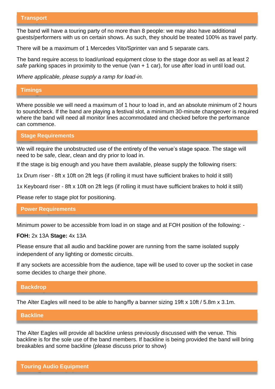The band will have a touring party of no more than 8 people: we may also have additional guests/performers with us on certain shows. As such, they should be treated 100% as travel party.

There will be a maximum of 1 Mercedes Vito/Sprinter van and 5 separate cars.

The band require access to load/unload equipment close to the stage door as well as at least 2 *safe* parking spaces in proximity to the venue (van + 1 car), for use after load in until load out.

*Where applicable, please supply a ramp for load-in.*

#### **Timings**

Where possible we will need a maximum of 1 hour to load in, and an absolute minimum of 2 hours to soundcheck. If the band are playing a festival slot, a minimum 30-minute changeover is required where the band will need all monitor lines accommodated and checked before the performance can commence.

**Stage Requirements**

We will require the unobstructed use of the entirety of the venue's stage space. The stage will need to be safe, clear, clean and dry prior to load in.

If the stage is big enough and you have them available, please supply the following risers:

1x Drum riser - 8ft x 10ft on 2ft legs (if rolling it must have sufficient brakes to hold it still)

1x Keyboard riser - 8ft x 10ft on 2ft legs (if rolling it must have sufficient brakes to hold it still)

Please refer to stage plot for positioning.

**Power Requirements**

Minimum power to be accessible from load in on stage and at FOH position of the following: -

**FOH:** 2x 13A **Stage:** 4x 13A

Please ensure that all audio and backline power are running from the same isolated supply independent of any lighting or domestic circuits.

If any sockets are accessible from the audience, tape will be used to cover up the socket in case some decides to charge their phone.

#### **Backdrop**

The Alter Eagles will need to be able to hang/fly a banner sizing 19ft x 10ft / 5.8m x 3.1m.

#### **Backline**

The Alter Eagles will provide all backline unless previously discussed with the venue. This backline is for the sole use of the band members. If backline is being provided the band will bring breakables and some backline (please discuss prior to show)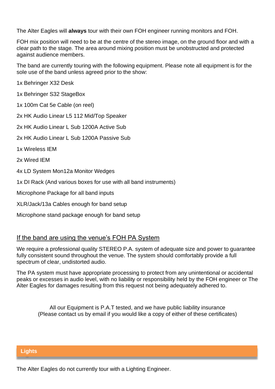The Alter Eagles will **always** tour with their own FOH engineer running monitors and FOH.

FOH mix position will need to be at the centre of the stereo image, on the ground floor and with a clear path to the stage*.* The area around mixing position must be unobstructed and protected against audience members.

The band are currently touring with the following equipment. Please note all equipment is for the sole use of the band unless agreed prior to the show:

1x Behringer X32 Desk

1x Behringer S32 StageBox

1x 100m Cat 5e Cable (on reel)

2x HK Audio Linear L5 112 Mid/Top Speaker

2x HK Audio Linear L Sub 1200A Active Sub

2x HK Audio Linear L Sub 1200A Passive Sub

1x Wireless IEM

2x Wired IEM

4x LD System Mon12a Monitor Wedges

1x DI Rack (And various boxes for use with all band instruments)

Microphone Package for all band inputs

XLR/Jack/13a Cables enough for band setup

Microphone stand package enough for band setup

# If the band are using the venue's FOH PA System

We require a professional quality STEREO P.A. system of adequate size and power to guarantee fully consistent sound throughout the venue. The system should comfortably provide a full spectrum of clear, undistorted audio.

The PA system must have appropriate processing to protect from any unintentional or accidental peaks or excesses in audio level, with no liability or responsibility held by the FOH engineer or The Alter Eagles for damages resulting from this request not being adequately adhered to.

All our Equipment is P.A.T tested, and we have public liability insurance (Please contact us by email if you would like a copy of either of these certificates)

### **Lights**

The Alter Eagles do not currently tour with a Lighting Engineer.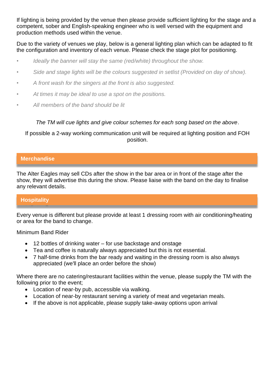If lighting is being provided by the venue then please provide sufficient lighting for the stage and a competent, sober and English-speaking engineer who is well versed with the equipment and production methods used within the venue.

Due to the variety of venues we play, below is a general lighting plan which can be adapted to fit the configuration and inventory of each venue. Please check the stage plot for positioning.

- *• Ideally the banner will stay the same (red/white) throughout the show.*
- *• Side and stage lights will be the colours suggested in setlist (Provided on day of show).*
- *• A front wash for the singers at the front is also suggested.*
- *• At times it may be ideal to use a spot on the positions.*
- *• All members of the band should be lit*

*The TM will cue lights and give colour schemes for each song based on the above*.

If possible a 2-way working communication unit will be required at lighting position and FOH position.

## **Merchandise**

The Alter Eagles may sell CDs after the show in the bar area or in front of the stage after the show, they will advertise this during the show. Please liaise with the band on the day to finalise any relevant details.

# **Hospitality**

Every venue is different but please provide at least 1 dressing room with air conditioning/heating or area for the band to change.

Minimum Band Rider

- 12 bottles of drinking water for use backstage and onstage
- Tea and coffee is naturally always appreciated but this is not essential.
- 7 half-time drinks from the bar ready and waiting in the dressing room is also always appreciated (we'll place an order before the show)

Where there are no catering/restaurant facilities within the venue, please supply the TM with the following prior to the event;

- Location of near-by pub, accessible via walking.
- Location of near-by restaurant serving a variety of meat and vegetarian meals.
- If the above is not applicable, please supply take-away options upon arrival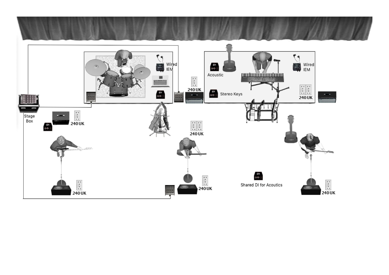